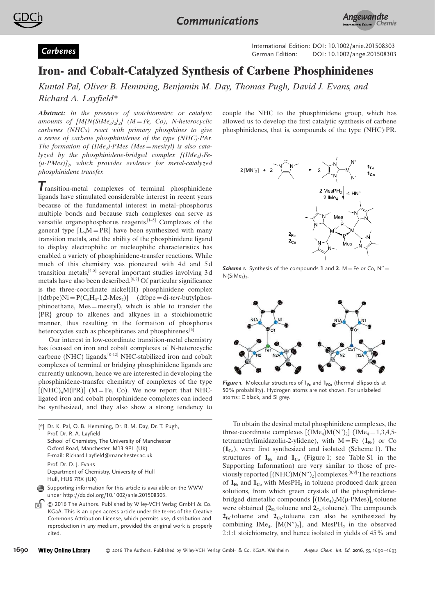



Externational Edition: DOI: 10.1002/anie.201508303<br>German Edition: DOI: 10.1002/ange.201508303

## Iron- and Cobalt-Catalyzed Synthesis of Carbene Phosphinidenes

Kuntal Pal, Oliver B. Hemming, Benjamin M. Day, Thomas Pugh, David J. Evans, and Richard A. Layfield\*

Abstract: In the presence of stoichiometric or catalytic amounts of  $[M/N(SiMe_3)_2]_2$  (M = Fe, Co), N-heterocyclic carbenes (NHCs) react with primary phosphines to give a series of carbene phosphinidenes of the type (NHC)·PAr. The formation of  $(Im e_4)$ ·PMes  $(Mes = mesityl)$  is also catalyzed by the phosphinidene-bridged complex  $[(IMe<sub>4</sub>)<sub>2</sub>Fe (\mu$ -PMes) $J_2$ , which provides evidence for metal-catalyzed phosphinidene transfer.

Transition-metal complexes of terminal phosphinidene ligands have stimulated considerable interest in recent years because of the fundamental interest in metal–phosphorus multiple bonds and because such complexes can serve as versatile organophosphorus reagents.[1–5] Complexes of the general type  $[L<sub>n</sub>M = PR]$  have been synthesized with many transition metals, and the ability of the phosphinidene ligand to display electrophilic or nucleophilic characteristics has enabled a variety of phosphinidene-transfer reactions. While much of this chemistry was pioneered with 4d and 5d transition metals,  $[4, 5]$  several important studies involving 3d metals have also been described.<sup>[6,7]</sup> Of particular significance is the three-coordinate nickel(II) phosphinidene complex  $[(\text{dtbpe})\text{Ni} = \text{P}(C_6\text{H}_3 - 1, 2\text{-Mes}_2)]$   $(\text{dtbpe} = \text{di-terr-butylphos} - \text{du}$ phinoethane,  $Mes = mesityl$ ), which is able to transfer the {PR} group to alkenes and alkynes in a stoichiometric manner, thus resulting in the formation of phosphorus heterocycles such as phosphiranes and phosphirenes.<sup>[6]</sup>

Our interest in low-coordinate transition-metal chemistry has focused on iron and cobalt complexes of N-heterocyclic carbene (NHC) ligands.[8–12] NHC-stabilized iron and cobalt complexes of terminal or bridging phosphinidene ligands are currently unknown, hence we are interested in developing the phosphinidene-transfer chemistry of complexes of the type  $[(NHC)<sub>n</sub>M(PR)]$  (M = Fe, Co). We now report that NHCligated iron and cobalt phosphinidene complexes can indeed be synthesized, and they also show a strong tendency to



Hull, HU6 7RX (UK) Supporting information for this article is available on the WWW

- under http://dx.doi.org/10.1002/anie.201508303.
- Гó Ó 2016 The Authors. Published by Wiley-VCH Verlag GmbH & Co. KGaA. This is an open access article under the terms of the Creative Commons Attribution License, which permits use, distribution and reproduction in any medium, provided the original work is properly cited.

couple the NHC to the phosphinidene group, which has allowed us to develop the first catalytic synthesis of carbene phosphinidenes, that is, compounds of the type (NHC)·PR.



**Scheme 1.** Synthesis of the compounds 1 and 2.  $M = Fe$  or Co,  $N'' =$  $N(SiMe<sub>3</sub>)<sub>2</sub>$ .



Figure 1. Molecular structures of  $I_{Fe}$  and  $I_{FCO}$  (thermal ellipsoids at 50% probability). Hydrogen atoms are not shown. For unlabeled atoms: C black, and Si grey.

To obtain the desired metal phosphinidene complexes, the three-coordinate complexes  $[(Im_{e_4})M(N'')_2]$   $(Im_{e_4}=1,3,4,5)$ tetramethylimidazolin-2-ylidene), with  $M = Fe(1_{Fe})$  or Co  $(1_{Co})$ , were first synthesized and isolated (Scheme 1). The structures of  $1_{Fe}$  and  $1_{Co}$  (Figure 1; see Table S1 in the Supporting Information) are very similar to those of previously reported  $[(NHC)M(N'')_2]$  complexes.<sup>[8,9]</sup> The reactions of  $\mathbf{1}_{Fe}$  and  $\mathbf{1}_{Co}$  with MesPH<sub>2</sub> in toluene produced dark green solutions, from which green crystals of the phosphinidenebridged dimetallic compounds  $[(Im_{4})_2M(\mu-PMes)]_2$ ·toluene were obtained  $(2_{Fe}$ ·toluene and  $2_{Co}$ ·toluene). The compounds  $2_{Fe}$ ·toluene and  $2_{Co}$ ·toluene can also be synthesized by combining IMe<sub>4</sub>,  $[M(N'')_2]$ , and MesPH<sub>2</sub> in the observed 2:1:1 stoichiometry, and hence isolated in yields of 45% and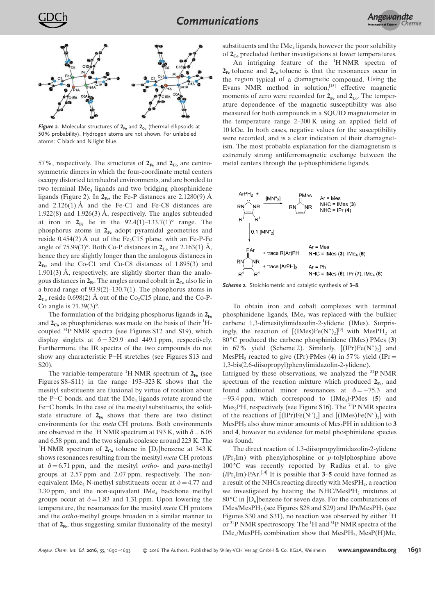

Figure 2. Molecular structures of  $2_{Fe}$  and  $2_{Co}$  (thermal ellipsoids at 50% probability). Hydrogen atoms are not shown. For unlabeled atoms: C black and N light blue.

57%, respectively. The structures of  $2_{Fe}$  and  $2_{Co}$  are centrosymmetric dimers in which the four-coordinate metal centers occupy distorted tetrahedral environments, and are bonded to two terminal IMe<sub>4</sub> ligands and two bridging phosphinidene ligands (Figure 2). In  $2_{Fe}$ , the Fe-P distances are 2.1280(9) Å and  $2.126(1)$  Å and the Fe-C1 and Fe-C8 distances are 1.922(8) and 1.926(3) Å, respectively. The angles subtended at iron in  $2_{Fe}$  lie in the  $92.4(1)-133.7(1)$ ° range. The phosphorus atoms in  $2_{Fe}$  adopt pyramidal geometries and reside 0.454(2)  $\AA$  out of the Fe<sub>2</sub>C15 plane, with an Fe-P-Fe angle of 75.99(3)<sup>o</sup>. Both Co-P distances in  $2_{Co}$  are 2.163(1) Å, hence they are slightly longer than the analogous distances in  $2_{Fe}$ , and the Co-C1 and Co-C8 distances of 1.895(3) and  $1.901(3)$  Å, respectively, are slightly shorter than the analogous distances in  $2_{Fe}$ . The angles around cobalt in  $2_{Co}$  also lie in a broad range of 93.9(2)–130.7(1). The phosphorus atoms in  $2_{\text{Co}}$  reside 0.698(2) Å out of the Co<sub>2</sub>C15 plane, and the Co-P-Co angle is  $71.39(3)$ °.

The formulation of the bridging phosphorus ligands in  $2_{Fe}$ and  $2_{Co}$  as phosphinidenes was made on the basis of their  ${}^{1}H$ coupled <sup>31</sup>P NMR spectra (see Figures S12 and S19), which display singlets at  $\delta = 329.9$  and 449.1 ppm, respectively. Furthermore, the IR spectra of the two compounds do not show any characteristic P–H stretches (see Figures S13 and S20).

The variable-temperature <sup>1</sup>H NMR spectrum of  $2_{Fe}$  (see Figures S8–S11) in the range 193–323 K shows that the mesityl substituents are fluxional by virtue of rotation about the P $-C$  bonds, and that the IMe<sub>4</sub> ligands rotate around the Fe–C bonds. In the case of the mesityl substituents, the solidstate structure of  $2_{Fe}$  shows that there are two distinct environments for the meta CH protons. Both environments are observed in the <sup>1</sup>H NMR spectrum at 193 K, with  $\delta = 6.05$ and 6.58 ppm, and the two signals coalesce around 223 K. The <sup>1</sup>H NMR spectrum of  $2_{\text{Co}}$  toluene in [D<sub>6</sub>]benzene at 343 K shows resonances resulting from the mesityl meta CH protons at  $\delta = 6.71$  ppm, and the mesityl *ortho-* and *para-methyl* groups at 2.57 ppm and 2.07 ppm, respectively. The nonequivalent IMe<sub>4</sub> N-methyl substituents occur at  $\delta = 4.77$  and 3.30 ppm, and the non-equivalent  $\text{IME}_4$  backbone methyl groups occur at  $\delta = 1.83$  and 1.31 ppm. Upon lowering the temperature, the resonances for the mesityl meta CH protons and the ortho-methyl groups broaden in a similar manner to that of  $2_{\text{Fe}}$ , thus suggesting similar fluxionality of the mesityl

substituents and the IM $e_4$  ligands, however the poor solubility of  $2_{Co}$  precluded further investigations at lower temperatures.

An intriguing feature of the  ${}^{1}$ H NMR spectra of  $2_{Fe}$ ·toluene and  $2_{Co}$ ·toluene is that the resonances occur in the region typical of a diamagnetic compound. Using the Evans NMR method in solution, $^{[13]}$  effective magnetic moments of zero were recorded for  $2_{Fe}$  and  $2_{Co}$ . The temperature dependence of the magnetic susceptibility was also measured for both compounds in a SQUID magnetometer in the temperature range 2–300 K using an applied field of 10 kOe. In both cases, negative values for the susceptibility were recorded, and is a clear indication of their diamagnetism. The most probable explanation for the diamagnetism is extremely strong antiferromagnetic exchange between the metal centers through the  $\mu$ -phosphinidene ligands.



Scheme 2. Stoichiometric and catalytic synthesis of 3-8.

To obtain iron and cobalt complexes with terminal phosphinidene ligands,  $IMe<sub>4</sub>$  was replaced with the bulkier carbene 1,3-dimesitylimidazolin-2-ylidene (IMes). Surprisingly, the reaction of  $[(IMes)Fe(N'')_2]^{[9]}$  with  $MesPH_2$  at 80°C produced the carbene phosphinidene (IMes)·PMes (3) in  $67\%$  yield (Scheme 2). Similarly,  $[(IPr)Fe(N<sup>''</sup>)<sub>2</sub>]$  and MesPH<sub>2</sub> reacted to give (IPr)·PMes (4) in 57% yield (IPr= 1,3-bis(2,6-diisopropyl)phenylimidazolin-2-ylidene).

Intrigued by these observations, we analyzed the <sup>31</sup>P NMR spectrum of the reaction mixture which produced  $2_{Fe}$ , and found additional minor resonances at  $\delta = -75.3$  and  $-93.4$  ppm, which correspond to  $(IME<sub>4</sub>)$ ·PMes (5) and Mes<sub>2</sub>PH, respectively (see Figure S16). The <sup>31</sup>P NMR spectra of the reactions of  $[(IPr)Fe(N'')_2]$  and  $[(IMes)Fe(N'')_2]$  with MesPH<sub>2</sub> also show minor amounts of Mes<sub>2</sub>PH in addition to  $3$ and 4, however no evidence for metal phosphinidene species was found.

The direct reaction of 1,3-diisopropylimidazolin-2-ylidene  $(iPr<sub>2</sub>Im)$  with phenylphosphine or p-tolylphosphine above 100 °C was recently reported by Radius et al. to give  $(iPr_2Im)$ ·PAr.<sup>[14]</sup> It is possible that 3–5 could have formed as a result of the NHCs reacting directly with  $MesPH<sub>2</sub>$ , a reaction we investigated by heating the  $NHC/MesPH<sub>2</sub>$  mixtures at 80°C in [D<sub>6</sub>]benzene for seven days. For the combinations of  $IMes/MesPH<sub>2</sub>$  (see Figures S28 and S29) and  $IPr/ MesPH<sub>2</sub>$  (see Figures S30 and S31), no reaction was observed by either  ${}^{1}H$ or  ${}^{31}P$  NMR spectroscopy. The  ${}^{1}H$  and  ${}^{31}P$  NMR spectra of the IMe<sub>4</sub>/MesPH<sub>2</sub> combination show that MesPH<sub>2</sub>, MesP(H)Me,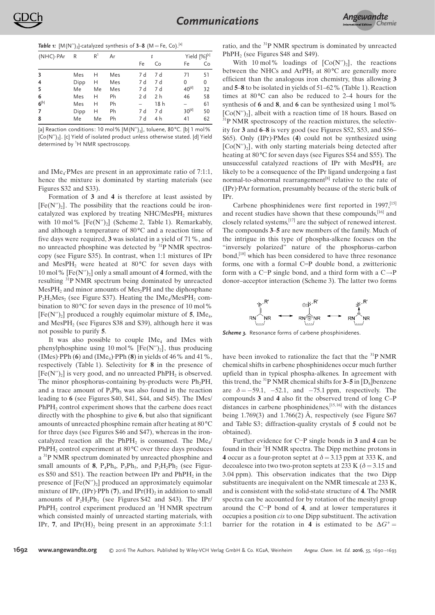

**Table 1:**  $[M(N'')_2]$ -catalyzed synthesis of  $3-8$  (M = Fe, Co).<sup>[a]</sup>

| $(NHC)$ -PAr | R    | R <sup>1</sup> | Ar  |     | t   |                   | Yield [%] <sup>[c]</sup> |  |
|--------------|------|----------------|-----|-----|-----|-------------------|--------------------------|--|
|              |      |                |     | Fe  | Co  | Fe                | Co                       |  |
| 3            | Mes  | н              | Mes | 7 d | 7 d | 71                | 51                       |  |
| 4            | Dipp | н              | Mes | 7 d | 7 d | 0                 | 0                        |  |
| 5            | Me   | Me             | Mes | 7 d | 7 d | 40 <sup>[d]</sup> | 32                       |  |
| 6            | Mes  | н              | Ph  | 2 d | 2 h | 46                | 58                       |  |
| $6^{[b]}$    | Mes  | н              | Ph  |     | 18h |                   | 61                       |  |
| 7            | Dipp | н              | Ph  | 7 d | 7 d | $30^{[d]}$        | 50                       |  |
| 8            | Me   | Me             | Ph  | 7 d | 4 h | 41                | 62                       |  |

[a] Reaction conditions: 10 mol%  $[M(N'')_2]$ , toluene, 80°C. [b] 1 mol% [Co(N'')<sup>2</sup> ]. [c] Yield of isolated product unless otherwise stated. [d] Yield determined by <sup>1</sup>H NMR spectroscopy.

and IMe<sub>4</sub>·PMes are present in an approximate ratio of 7:1:1, hence the mixture is dominated by starting materials (see Figures S32 and S33).

Formation of 3 and 4 is therefore at least assisted by  $[Fe(N<sup>''</sup>)<sub>2</sub>]$ . The possibility that the reactions could be ironcatalyzed was explored by treating NHC/MesPH<sub>2</sub> mixtures with 10 mol%  $[Fe(N'')_2]$  (Scheme 2, Table 1). Remarkably, and although a temperature of  $80^{\circ}$ C and a reaction time of five days were required, 3 was isolated in a yield of 71%, and no unreacted phosphine was detected by <sup>31</sup>P NMR spectroscopy (see Figure S35). In contrast, when 1:1 mixtures of IPr and MesPH<sub>2</sub> were heated at  $80^{\circ}$ C for seven days with 10 mol%  $[Fe(N')]_2]$  only a small amount of 4 formed, with the resulting <sup>31</sup>P NMR spectrum being dominated by unreacted  $MesPH<sub>2</sub>$  and minor amounts of  $Mes<sub>2</sub>PH$  and the diphosphane  $P_2H_2Mes_2$  (see Figure S37). Heating the IMe<sub>4</sub>/MesPH<sub>2</sub> combination to  $80^{\circ}$ C for seven days in the presence of 10 mol%  $[Fe(N<sup>′</sup>)<sub>2</sub>]$  produced a roughly equimolar mixture of 5, IMe<sub>4</sub>, and Mes $PH_2$  (see Figures S38 and S39), although here it was not possible to purify 5.

It was also possible to couple  $IME_4$  and IMes with phenylphosphine using 10 mol%  $[Fe(N'')_2]$ , thus producing (IMes)·PPh  $(6)$  and (IMe<sub>4</sub>)·PPh  $(8)$  in yields of 46% and 41%, respectively (Table 1). Selectivity for 8 in the presence of  $[Fe(N'')<sub>2</sub>]$  is very good, and no unreacted  $PhPH<sub>2</sub>$  is observed. The minor phosphorus-containing by-products were  $Ph<sub>2</sub>PH$ , and a trace amount of  $P_5Ph_5$  was also found in the reaction leading to 6 (see Figures S40, S41, S44, and S45). The IMes/ PhPH<sub>2</sub> control experiment shows that the carbene does react directly with the phosphine to give 6, but also that significant amounts of unreacted phosphine remain after heating at 80 °C for three days (see Figures S46 and S47), whereas in the ironcatalyzed reaction all the  $PhPH_2$  is consumed. The IMe<sub>4</sub>/ PhPH<sub>2</sub> control experiment at  $80^{\circ}$ C over three days produces a<sup>31</sup>P NMR spectrum dominated by unreacted phosphine and small amounts of 8,  $P_4Ph_4$ ,  $P_5Ph_5$ , and  $P_2H_2Ph_2$  (see Figures S50 and S51). The reaction between IPr and  $PhPH_2$  in the presence of  $[Fe(N'')_2]$  produced an approximately equimolar mixture of IPr, (IPr) $\cdot$ PPh (7), and IPr(H)<sub>2</sub> in addition to small amounts of  $P_2H_2Ph_2$  (see Figures S42 and S43). The IPr/ PhPH<sub>2</sub> control experiment produced an  ${}^{1}$ H NMR spectrum which consisted mainly of unreacted starting materials, with IPr, 7, and IPr $(H)$ , being present in an approximate 5:1:1

ratio, and the <sup>31</sup>P NMR spectrum is dominated by unreacted PhPH<sub>2</sub> (see Figures S48 and S49).

With 10 mol% loadings of  $[Co(N'')_2]$ , the reactions between the NHCs and ArPH<sub>2</sub> at  $80^{\circ}$ C are generally more efficient than the analogous iron chemistry, thus allowing 3 and 5–8 to be isolated in yields of 51–62% (Table 1). Reaction times at  $80^{\circ}$ C can also be reduced to 2–4 hours for the synthesis of  $6$  and  $8$ , and  $6$  can be synthesized using 1 mol%  $[Co(N<sup>′</sup>)<sub>2</sub>]$ , albeit with a reaction time of 18 hours. Based on  $31P$  NMR spectroscopy of the reaction mixtures, the selectivity for 3 and 6–8 is very good (see Figures S52, S53, and S56– S65). Only (IPr)·PMes (4) could not be synthesized using [Co(N")<sub>2</sub>], with only starting materials being detected after heating at 80 °C for seven days (see Figures S54 and S55). The unsuccessful catalyzed reactions of IPr with  $MesPH<sub>2</sub>$  are likely to be a consequence of the IPr ligand undergoing a fast normal-to-abnormal rearrangement<sup>[8]</sup> relative to the rate of (IPr)·PAr formation, presumably because of the steric bulk of IPr.

Carbene phosphinidenes were first reported in 1997,<sup>[15]</sup> and recent studies have shown that these compounds.<sup>[16]</sup> and closely related systems,[17] are the subject of renewed interest. The compounds 3–5 are new members of the family. Much of the intrigue in this type of phospha-alkene focuses on the "inversely polarized" nature of the phosphorus–carbon bond,<sup>[18]</sup> which has been considered to have three resonance forms, one with a formal C=P double bond, a zwitterionic form with a C $-P$  single bond, and a third form with a C $\rightarrow$ P donor–acceptor interaction (Scheme 3). The latter two forms



Scheme 3. Resonance forms of carbene phosphinidenes.

have been invoked to rationalize the fact that the <sup>31</sup>P NMR chemical shifts in carbene phosphinidenes occur much further upfield than in typical phospha-alkenes. In agreement with this trend, the <sup>31</sup>P NMR chemical shifts for  $3-5$  in [D<sub>6</sub>]benzene are  $\delta = -59.1, -52.1,$  and  $-75.1$  ppm, respectively. The compounds 3 and 4 also fit the observed trend of long C–P distances in carbene phosphinidenes,[15, 16] with the distances being 1.769(3) and 1.766(2) Å, respectively (see Figure S67 and Table S3; diffraction-quality crystals of 5 could not be obtained).

Further evidence for  $C-P$  single bonds in 3 and 4 can be found in their <sup>1</sup>H NMR spectra. The Dipp methine protons in 4 occur as a four-proton septet at  $\delta = 3.13$  ppm at 333 K, and decoalesce into two two-proton septets at 233 K ( $\delta$  = 3.15 and 3.04 ppm). This observation indicates that the two Dipp substituents are inequivalent on the NMR timescale at 233 K, and is consistent with the solid-state structure of 4. The NMR spectra can be accounted for by rotation of the mesityl group around the  $C-P$  bond of 4, and at lower temperatures it occupies a position cis to one Dipp substituent. The activation barrier for the rotation in 4 is estimated to be  $\Delta G^+$  =